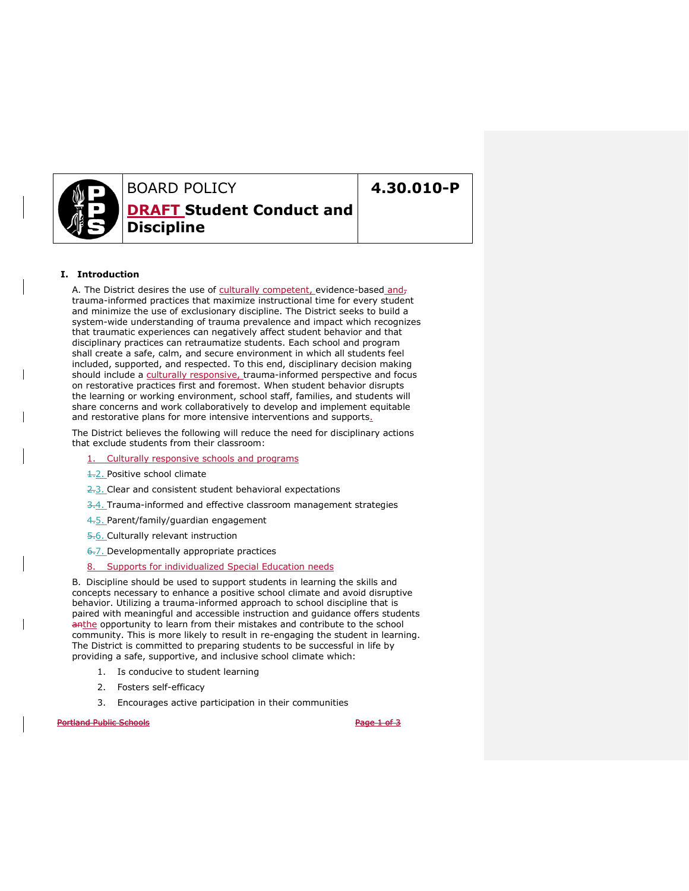

# BOARD POLICY **DRAFT Student Conduct and Discipline**

# **4.30.010-P**

## **I. Introduction**

A. The District desires the use of culturally competent, evidence-based andtrauma-informed practices that maximize instructional time for every student and minimize the use of exclusionary discipline. The District seeks to build a system-wide understanding of trauma prevalence and impact which recognizes that traumatic experiences can negatively affect student behavior and that disciplinary practices can retraumatize students. Each school and program shall create a safe, calm, and secure environment in which all students feel included, supported, and respected. To this end, disciplinary decision making should include a culturally responsive, trauma-informed perspective and focus on restorative practices first and foremost. When student behavior disrupts the learning or working environment, school staff, families, and students will share concerns and work collaboratively to develop and implement equitable and restorative plans for more intensive interventions and supports.

The District believes the following will reduce the need for disciplinary actions that exclude students from their classroom:

### Culturally responsive schools and programs

- **1.2.** Positive school climate
- 2.3. Clear and consistent student behavioral expectations
- 3.4. Trauma-informed and effective classroom management strategies
- 4.5. Parent/family/guardian engagement
- 5.6. Culturally relevant instruction
- 6.7. Developmentally appropriate practices
- 8. Supports for individualized Special Education needs

B. Discipline should be used to support students in learning the skills and concepts necessary to enhance a positive school climate and avoid disruptive behavior. Utilizing a trauma-informed approach to school discipline that is paired with meaningful and accessible instruction and guidance offers students anthe opportunity to learn from their mistakes and contribute to the school community. This is more likely to result in re-engaging the student in learning. The District is committed to preparing students to be successful in life by providing a safe, supportive, and inclusive school climate which:

- 1. Is conducive to student learning
- 2. Fosters self-efficacy
- 3. Encourages active participation in their communities

Portland Public Schools **Page 1 of 3**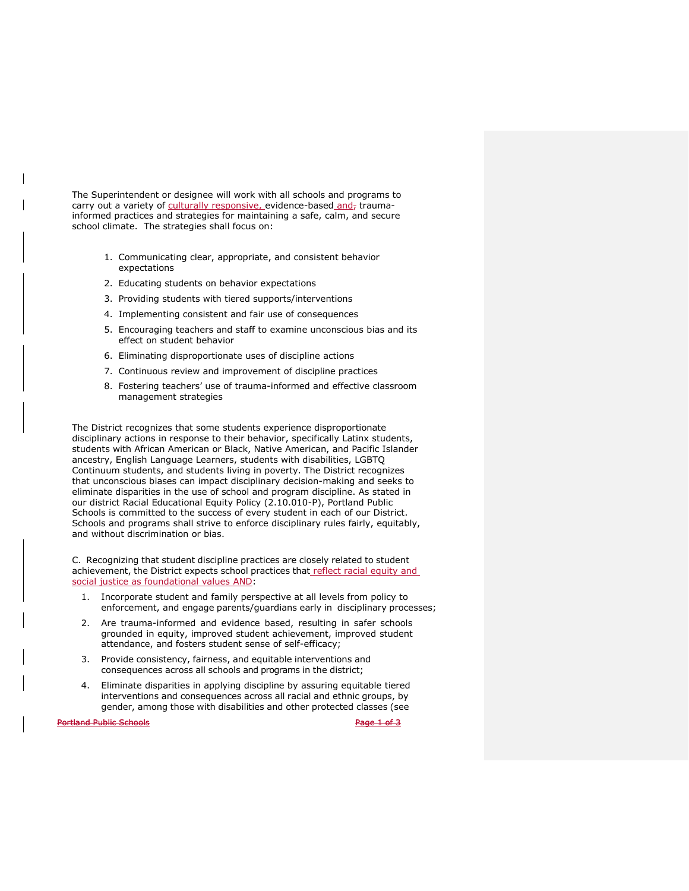The Superintendent or designee will work with all schools and programs to carry out a variety of culturally responsive, evidence-based and, traumainformed practices and strategies for maintaining a safe, calm, and secure school climate. The strategies shall focus on:

- 1. Communicating clear, appropriate, and consistent behavior expectations
- 2. Educating students on behavior expectations
- 3. Providing students with tiered supports/interventions
- 4. Implementing consistent and fair use of consequences
- 5. Encouraging teachers and staff to examine unconscious bias and its effect on student behavior
- 6. Eliminating disproportionate uses of discipline actions
- 7. Continuous review and improvement of discipline practices
- 8. Fostering teachers' use of trauma-informed and effective classroom management strategies

The District recognizes that some students experience disproportionate disciplinary actions in response to their behavior, specifically Latinx students, students with African American or Black, Native American, and Pacific Islander ancestry, English Language Learners, students with disabilities, LGBTQ Continuum students, and students living in poverty. The District recognizes that unconscious biases can impact disciplinary decision-making and seeks to eliminate disparities in the use of school and program discipline. As stated in our district Racial Educational Equity Policy (2.10.010-P), Portland Public Schools is committed to the success of every student in each of our District. Schools and programs shall strive to enforce disciplinary rules fairly, equitably, and without discrimination or bias.

C. Recognizing that student discipline practices are closely related to student achievement, the District expects school practices that reflect racial equity and social justice as foundational values AND:

- 1. Incorporate student and family perspective at all levels from policy to enforcement, and engage parents/guardians early in disciplinary processes;
- 2. Are trauma-informed and evidence based, resulting in safer schools grounded in equity, improved student achievement, improved student attendance, and fosters student sense of self-efficacy;
- 3. Provide consistency, fairness, and equitable interventions and consequences across all schools and programs in the district;
- 4. Eliminate disparities in applying discipline by assuring equitable tiered interventions and consequences across all racial and ethnic groups, by gender, among those with disabilities and other protected classes (see

**Portland Public Schools Page 1 of 3**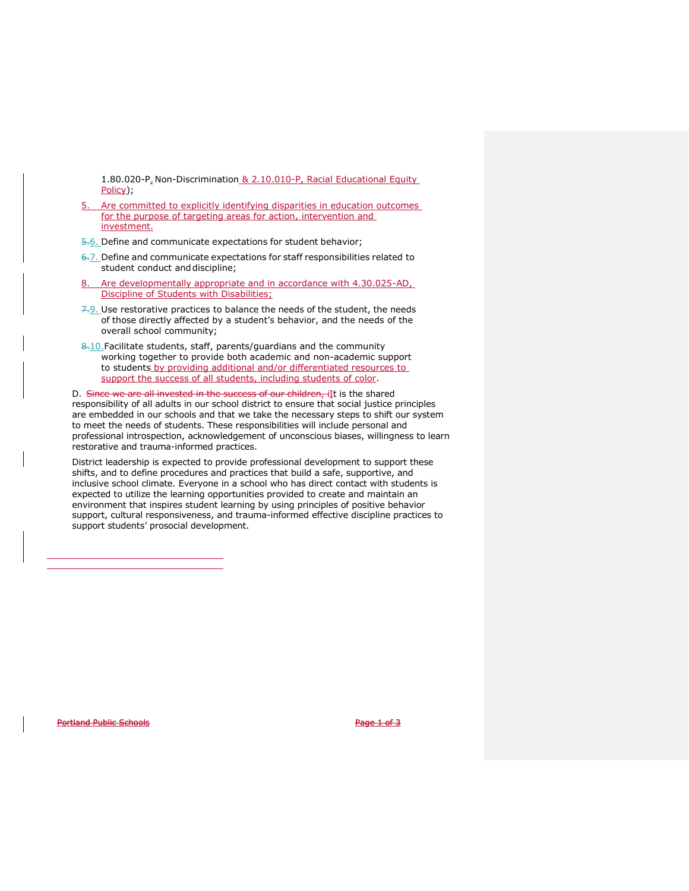1.80.020-P, Non-Discrimination & 2.10.010-P, Racial Educational Equity Policy);

5. Are committed to explicitly identifying disparities in education outcomes for the purpose of targeting areas for action, intervention and investment.

5.6. Define and communicate expectations for student behavior;

- $6-7$ . Define and communicate expectations for staff responsibilities related to student conduct and discipline;
- Are developmentally appropriate and in accordance with 4.30.025-AD, Discipline of Students with Disabilities;
- $7.9.$  Use restorative practices to balance the needs of the student, the needs of those directly affected by a student's behavior, and the needs of the overall school community;
- 8.10. Facilitate students, staff, parents/guardians and the community working together to provide both academic and non-academic support to students by providing additional and/or differentiated resources to support the success of all students, including students of color.

D. Since we are all invested in the success of our children, ilt is the shared responsibility of all adults in our school district to ensure that social justice principles are embedded in our schools and that we take the necessary steps to shift our system to meet the needs of students. These responsibilities will include personal and professional introspection, acknowledgement of unconscious biases, willingness to learn restorative and trauma-informed practices.

District leadership is expected to provide professional development to support these shifts, and to define procedures and practices that build a safe, supportive, and inclusive school climate. Everyone in a school who has direct contact with students is expected to utilize the learning opportunities provided to create and maintain an environment that inspires student learning by using principles of positive behavior support, cultural responsiveness, and trauma-informed effective discipline practices to support students' prosocial development.

Portland Public Schools **Page 1 of 3**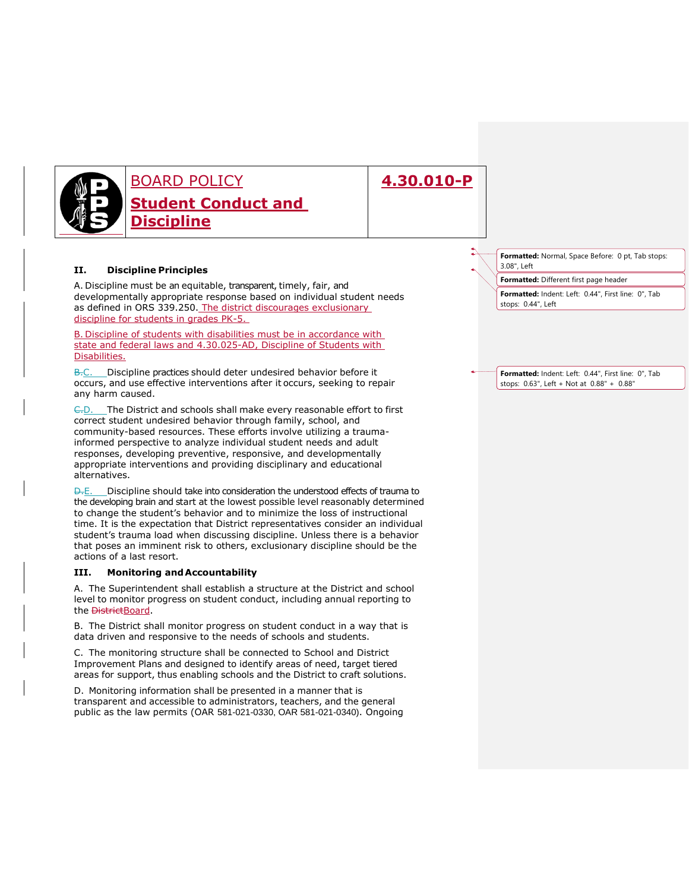

# **4.30.010-P**

## **II. Discipline Principles**

A. Discipline must be an equitable, transparent, timely, fair, and developmentally appropriate response based on individual student needs as defined in ORS 339.250. The district discourages exclusionary discipline for students in grades PK-5.

B. Discipline of students with disabilities must be in accordance with state and federal laws and 4.30.025-AD, Discipline of Students with Disabilities.

B.C. Discipline practices should deter undesired behavior before it occurs, and use effective interventions after it occurs, seeking to repair any harm caused.

E.D. The District and schools shall make every reasonable effort to first correct student undesired behavior through family, school, and community-based resources. These efforts involve utilizing a traumainformed perspective to analyze individual student needs and adult responses, developing preventive, responsive, and developmentally appropriate interventions and providing disciplinary and educational alternatives.

 $\overline{D}$ . E. Discipline should take into consideration the understood effects of trauma to the developing brain and start at the lowest possible level reasonably determined to change the student's behavior and to minimize the loss of instructional time. It is the expectation that District representatives consider an individual student's trauma load when discussing discipline. Unless there is a behavior that poses an imminent risk to others, exclusionary discipline should be the actions of a last resort.

## **III. Monitoring andAccountability**

A. The Superintendent shall establish a structure at the District and school level to monitor progress on student conduct, including annual reporting to the **District**Board.

B. The District shall monitor progress on student conduct in a way that is data driven and responsive to the needs of schools and students.

C. The monitoring structure shall be connected to School and District Improvement Plans and designed to identify areas of need, target tiered areas for support, thus enabling schools and the District to craft solutions.

D. Monitoring information shall be presented in a manner that is transparent and accessible to administrators, teachers, and the general public as the law permits (OAR 581-021-0330, OAR 581-021-0340). Ongoing **Formatted:** Normal, Space Before: 0 pt, Tab stops: 3.08", Left

**Formatted:** Different first page header

**Formatted:** Indent: Left: 0.44", First line: 0", Tab stops: 0.44", Left

**Formatted:** Indent: Left: 0.44", First line: 0", Tab stops: 0.63", Left + Not at 0.88" + 0.88"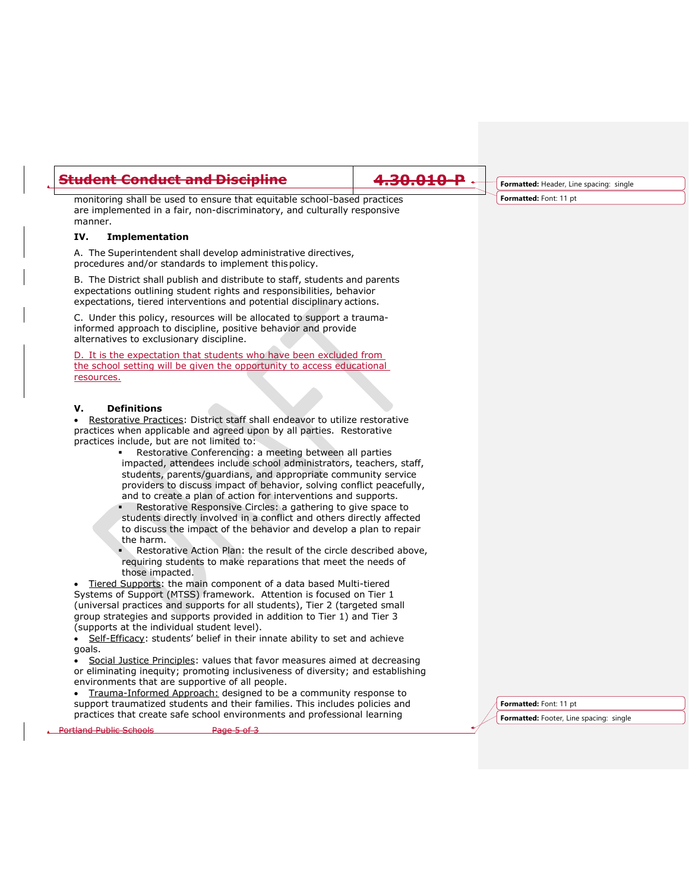## **Student Conduct and Discipline 4.30.010-P**

monitoring shall be used to ensure that equitable school-based practices are implemented in a fair, non-discriminatory, and culturally responsive manner.

#### **IV. Implementation**

A. The Superintendent shall develop administrative directives, procedures and/or standards to implement thispolicy.

B. The District shall publish and distribute to staff, students and parents expectations outlining student rights and responsibilities, behavior expectations, tiered interventions and potential disciplinary actions.

C. Under this policy, resources will be allocated to support a traumainformed approach to discipline, positive behavior and provide alternatives to exclusionary discipline.

It is the expectation that students who have been excluded from the school setting will be given the opportunity to access educational resources.

## **V. Definitions**

 Restorative Practices: District staff shall endeavor to utilize restorative practices when applicable and agreed upon by all parties. Restorative practices include, but are not limited to:

- Restorative Conferencing: a meeting between all parties impacted, attendees include school administrators, teachers, staff, students, parents/guardians, and appropriate community service providers to discuss impact of behavior, solving conflict peacefully, and to create a plan of action for interventions and supports.
- Restorative Responsive Circles: a gathering to give space to students directly involved in a conflict and others directly affected to discuss the impact of the behavior and develop a plan to repair the harm.
- Restorative Action Plan: the result of the circle described above, requiring students to make reparations that meet the needs of those impacted.

• Tiered Supports: the main component of a data based Multi-tiered Systems of Support (MTSS) framework. Attention is focused on Tier 1 (universal practices and supports for all students), Tier 2 (targeted small group strategies and supports provided in addition to Tier 1) and Tier 3 (supports at the individual student level).

Self-Efficacy: students' belief in their innate ability to set and achieve goals.

 Social Justice Principles: values that favor measures aimed at decreasing or eliminating inequity; promoting inclusiveness of diversity; and establishing environments that are supportive of all people.

 Trauma-Informed Approach: designed to be a community response to support traumatized students and their families. This includes policies and practices that create safe school environments and professional learning

**Formatted:** Header, Line spacing: single **Formatted:** Font: 11 pt

**Formatted:** Footer, Line spacing: single **Formatted:** Font: 11 pt